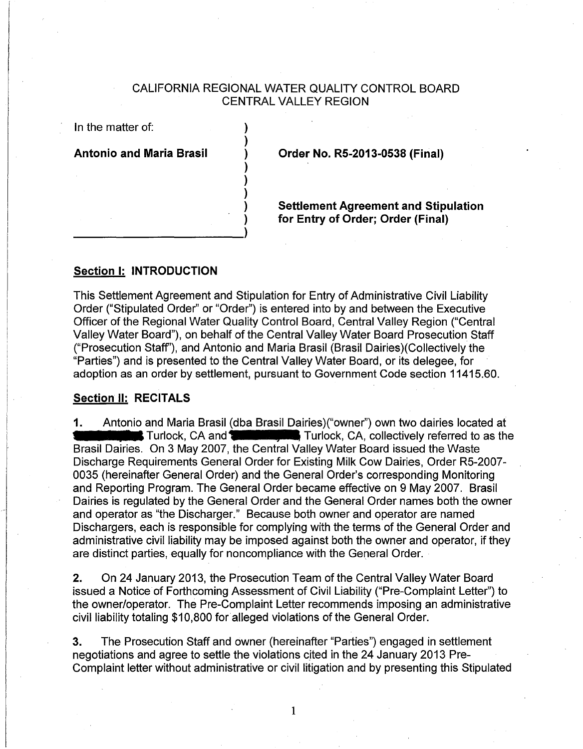# CALIFORNIA REGIONAL WATER QUALITY CONTROL BOARD CENTRAL VALLEY REGION

) ) ) ) ) ) )

In the matter of:

**Antonio and Maria Brasil** 

**Order No. RS-2013-0538 (Final)** 

**Settlement Agreement and Stipulation for Entry of Order; Order (Final)** 

## **Section 1: INTRODUCTION**

) and the contract of  $\mathcal{L}$  ,  $\mathcal{L}$  ,  $\mathcal{L}$  ,  $\mathcal{L}$  ,  $\mathcal{L}$  ,  $\mathcal{L}$ 

This Settlement Agreement and Stipulation for Entry of Administrative Civil Liability Order ("Stipulated Order" or "Order") is entered into by and between the Executive Officer of the Regional Water Quality Control Board, Central Valley Region ("Central Valley Water Board"), on behalf of the Central Valley Water Board Prosecution Staff ("Prosecution Staff''), and Antonio and Maria Brasil (Brasil Dairies)(Collectively the "Parties") and is presented to the Central Valley Water Board, or its delegee, for adoption as an order by settlement, pursuant to Government Code section 11415.60.

### **Section II: RECITALS**

**1.** Antonio and Maria Brasil (dba Brasil Dairies)("owner") own two dairies located at **CALC ACC ACC ACC ACC ACC ACC ACC** and Turlock, CA, collectively referred to as the **Procision of the 2007** the Control Valley Water Bo Brasil Dairies. On 3 May 2007, the Central Valley Water Board issued the Waste Discharge Requirements General Order for Existing Milk Cow Dairies, Order R5-2007- 0035 (hereinafter General Order) and the General Order's corresponding Monitoring and Reporting Program. The General Order became effective on 9 May 2007. Brasil Dairies is regulated by the General Order and the General Order names both the owner and operator as "the Discharger." Because both owner and operator are named Dischargers, each is responsible for complying with the terms of the General Order and administrative civil liability may be imposed against both the owner and operator, if they are distinct parties, equally for noncompliance with the General Order.

**2.** On 24 January 2013, the Prosecution Team of the Central Valley Water Board issued a Notice of Forthcoming Assessment of Civil Liability ("Pre-Complaint Letter") to the owner/operator. The Pre-Complaint Letter recommends imposing an administrative civil liability totaling \$10,800 for alleged violations of the General Order.

3. The Prosecution Staff and owner (hereinafter "Parties") engaged in settlement negotiations and agree to settle the violations cited in the 24 January 2013 Pre-Complaint letter without administrative or civil litigation and by presenting this Stipulated

1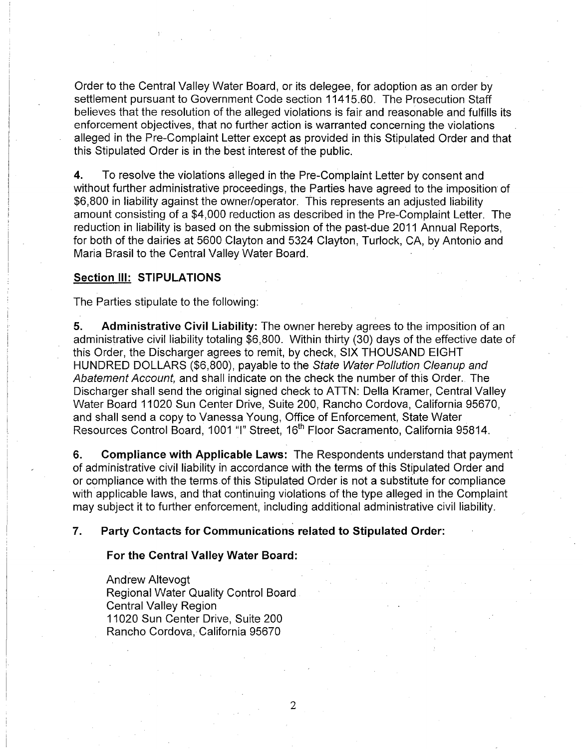Order to the Central Valley Water Board, or its delegee, for adoption as an order by settlement pursuant to Government Code section 11415.60. The Prosecution Staff believes that the resolution of the alleged violations is fair and reasonable and fulfills its enforcement objectives, that no further action is warranted concerning the violations alleged in the Pre-Complaint Letter except as provided in this Stipulated Order and that this Stipulated Order is in the best interest of the public.

**4.** To resolve the violations alleged in the Pre-Complaint Letter by consent and without further administrative proceedings, the Parties have agreed to the imposition of \$6,800 in liability against the owner/operator. This represents an adjusted liability amount consisting of a \$4,000 reduction as described in the Pre-Complaint Letter. The reduction in liability is based on the submission of the past-due 2011 Annual Reports, for both of the dairies at 5600 Clayton and 5324 Clayton, Turlock, CA, by Antonio and Maria Brasil to the Central Valley Water Board.

# **Section Ill: STIPULATIONS**

The Parties stipulate to the following:

**5. Administrative Civil Liability:** The owner hereby agrees to the imposition of an administrative civil liability totaling \$6,800. Within thirty (30) days of the effective date of this Order, the Discharger agrees to remit, by check, SIX THOUSAND EIGHT HUNDRED DOLLARS (\$6,800), payable to the State Water Pollution Cleanup and Abatement Account, and shall indicate on the check the number of this Order. The Discharger shall send the original signed check to ATTN: Della Kramer, Central Valley Water Board 11020 Sun Center Drive, Suite 200, Rancho Cordova, California 95670, and shall send a copy to Vanessa Young, Office of Enforcement, State Water Resources Control Board, 1001 "I" Street, 16<sup>th</sup> Floor Sacramento, California 95814.

**6. Compliance with Applicable Laws:** The Respondents understand that payment · of administrative civil liability in accordance with the terms of this Stipulated Order and or compliance with the terms of this Stipulated Order is not a substitute for compliance with applicable laws, and that continuing violations of the type alleged in the Complaint may subject it to further enforcement, including additional administrative civil liability.

## **7. Party Contacts for Communications related to Stipulated Order:**

#### **For the Central Valley Water Board:**

Andrew Altevogt Regional Water Quality Control Board Central Valley Region 11020 Sun Center Drive, Suite 200 Rancho Cordova, California 95670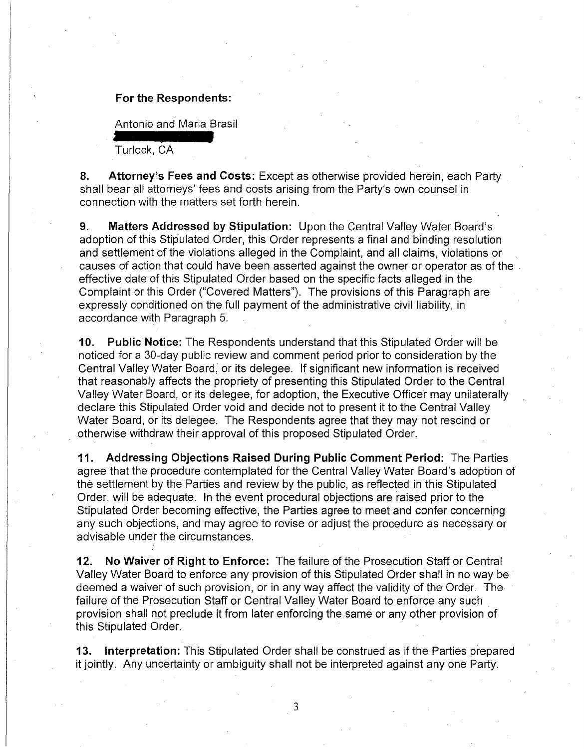## **For the Respondents:**

Antonio and Maria Brasil

Turlock, CA

**8. Attorney's Fees and Costs:** Except as otherwise provided herein, each Party . shall bear all attorneys' fees and costs arising from the Party's own counsel in connection with the matters set forth herein.

**9. Matters Addressed by Stipulation:** Upon the Central Valley Water Board's adoption of this Stipulated Order, this Order represents a final and binding resolution and settlement of the violations alleged in the Complaint, and all claims, violations or causes of action that could have been asserted against the owner or operator as of the effective date of this Stipulated Order based on the specific facts alleged in the Complaint or this Order ("Covered Matters"). The provisions of this Paragraph are expressly conditioned on the full payment of the administrative civil liability, in accordance with Paragraph 5.

**10. Public Notice:** The Respondents understand that this Stipulated Order will be noticed for a 30-day public review and comment period prior to consideration by the Central Valley Water Board; or its delegee. If significant new information is received that reasonably affects the propriety of presenting this Stipulated Order to the Central Valley Water Board, or its delegee, for adoption, the Executive Officer may unilaterally declare this Stipulated Order void and decide not to present it to the Central Valley Water Board, or its delegee. The Respondents agree that they may not rescind or otherwise withdraw their approval of this proposed Stipulated Order.

**11. Addressing Objections Raised During Public Comment Period:** The Parties agree that the procedure contemplated for the Central Valley Water Board's adoption of the settlement by the Parties and review by the public, as reflected in this Stipulated Order, will be adequate. In the event procedural objections are raised prior to the Stipulated Order becoming effective, the Parties agree to meet and confer concerning any such objections, and may agree to revise or adjust the procedure as necessary or advisable under the circumstances.

**12. No Waiver of Right to Enforce:** The failure of the Prosecution Staff or Central Valley Water Board to enforce any provision of this Stipulated Order shall in no way be deemed a waiver of such provision, or in any way affect the validity of the Order. The failure of the Prosecution Staff or Central Valley Water Board to enforce any such provision shall not preclude it from later enforcing the same or any other provision of this Stipulated Order.

**13. Interpretation:** This Stipulated Order shall be construed as if the Parties prepared it jointly. Any uncertainty or ambiguity shall not be interpreted against any one Party.

3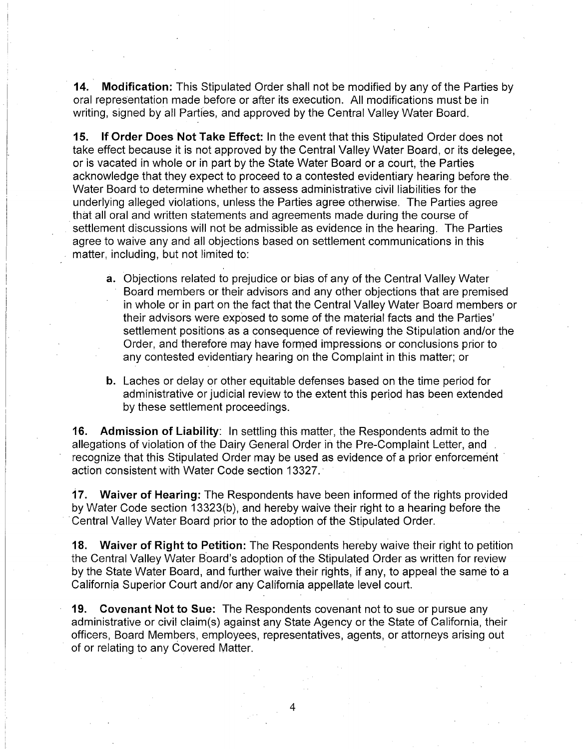**14. Modification:** This Stipulated Order shall not be modified by any of the Parties by oral representation made before or after its execution. All modifications must be in writing, signed by all Parties, and approved by the Central Valley Water Board.

**15. If Order Does Not Take Effect:** In the event that this Stipulated Order does not take effect because it is not approved by the Central Valley Water Board, or its delegee, or is vacated in whole or in part by the State Water Board or a court, the Parties acknowledge that they expect to proceed to a contested evidentiary hearing before the Water Board to determine whether to assess administrative civil liabilities for the underlying alleged violations, unless the Parties agree otherwise. The Parties agree that all oral and written statements and agreements made during the course of settlement discussions will not be admissible as evidence in the hearing. The Parties agree to waive any and all objections based on settlement communications in this matter, including, but not limited to:

- **a.** Objections related to prejudice or bias of any of the Central Valley Water Board members or their advisors and any other objections that are premised in whole or in part on the fact that the Central Valley Water Board members or their advisors were exposed to some of the material facts and the Parties' settlement positions as a consequence of reviewing the Stipulation and/or the Order, and therefore may have formed impressions or conclusions prior to any contested evidentiary hearing on the Complaint in this matter; or
- **b.** Laches or delay or other equitable defenses based on the time period for administrative or judicial review to the extent this period has been extended by these settlement proceedings.

**16. Admission of Liability:** In settling this matter, the Respondents admit to the allegations of violation of the Dairy General Order in the Pre-Complaint Letter, and recognize that this Stipulated Order may be used as evidence of a prior enforcement action consistent with Water Code section 13327.

**17. Waiver of Hearing:** The Respondents have been informed of the rights provided by Water Code section 13323(b), and hereby waive their right to a hearing before the Central Valley Water Board prior to the adoption of the Stipulated Order.

**18. Waiver of Right to Petition:** The Respondents hereby waive their right to petition the Central Valley Water Board's adoption of the Stipulated Order as written for review by the State Water Board, and further waive their rights, if any, to appeal the same to a California Superior Court and/or any California appellate level court.

**19. Covenant Not to Sue:** The Respondents covenant not to sue or pursue any administrative or civil claim(s) against any State Agency or the State of California, their officers, Board Members, employees, representatives, agents, or attorneys arising out of or relating to any Covered Matter.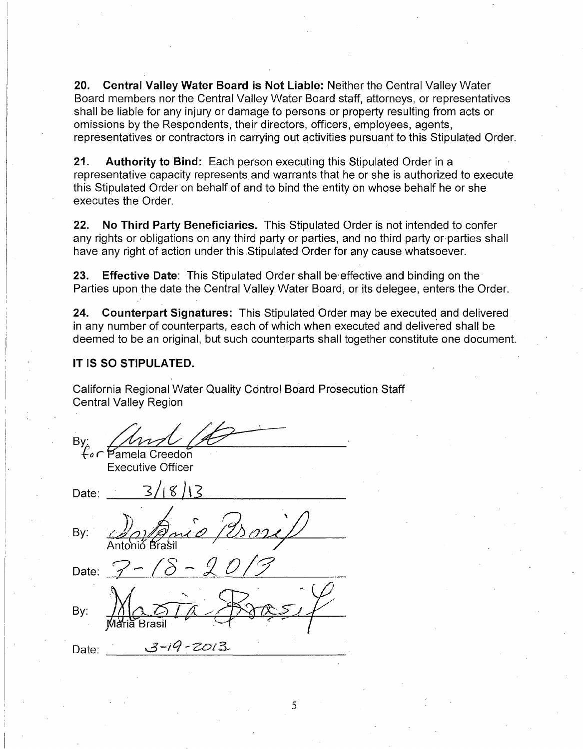**20. Central Valley Water Board is Not Liable:** Neither the Central Valley Water Board members nor the Central Valley Water Board staff, attorneys, or representatives shall be liable for any injury or damage to persons or property resulting from acts or omissions by the Respondents, their directors, officers, employees, agents, representatives or contractors in carrying out activities pursuant to this Stipulated Order.

**21. Authority to Bind:** Each person executing this Stipulated Order in a representative capacity represents and warrants that he or she is authorized to execute this Stipulated Order on behalf of and to bind the entity on whose behalf he or she executes the Order.

**22. No Third Party Beneficiaries.** This Stipulated Order is not intended to confer any rights or obligations on any third party or parties, and no third party or parties shall have any right of action under this Stipulated Order for any cause whatsoever.

**23. Effective Date:** This Stipulated Order shall be· effective and binding on the· Parties upon the date the Central Valley Water Board, or its delegee, enters the Order.

**24. Counterpart Signatures:** This Stipulated Order may be executed and delivered in any number of counterparts, each of which when executed and delivered shall be deemed to be an original, but such counterparts shall together constitute one document.

5

### **IT IS SO STIPULATED.**

Date:

California Regional Water Quality Control Board Prosecution Staff Central Valley Region

By:<br>{ for Pamela Creedon Executive Officer Date:  $3/(8)$ By: Date: By:  $3 - 19 - 2013$